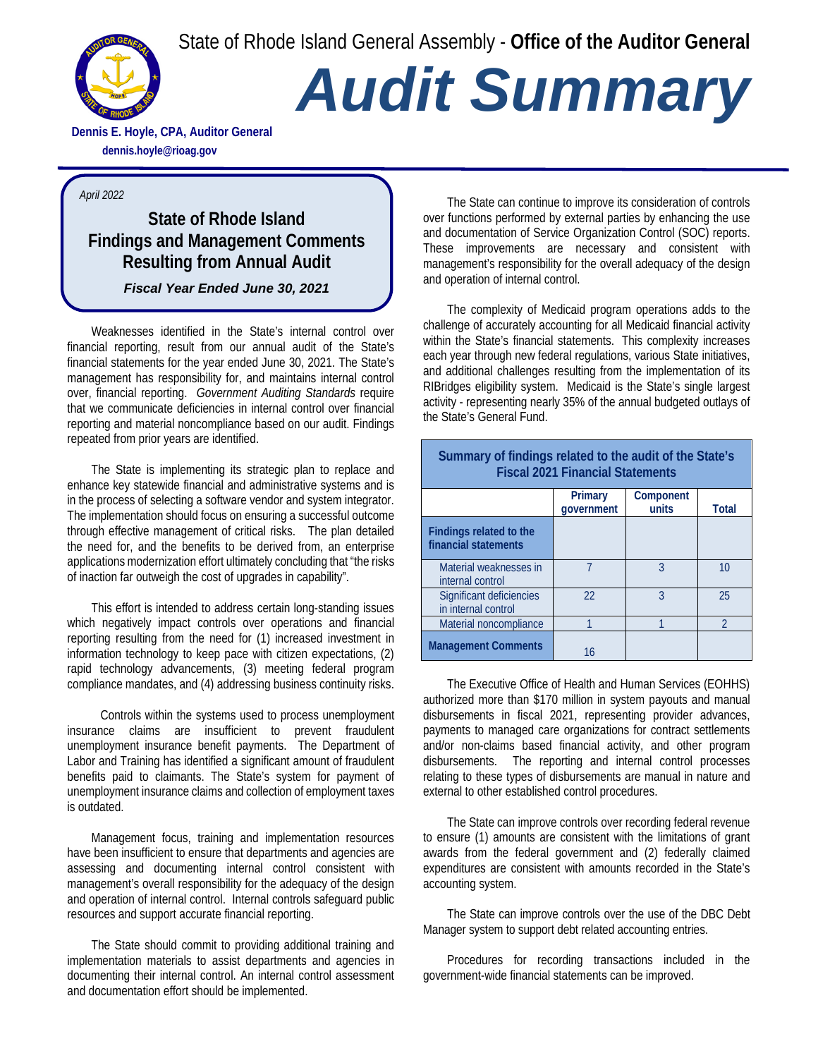State of Rhode Island General Assembly - **Office of the Auditor General**



# *Audit Summary*

**Dennis E. Hoyle, CPA, Auditor General dennis.hoyle@rioag.gov**

#### *April 2022*

## **State of Rhode Island Findings and Management Comments Resulting from Annual Audit**

### *Fiscal Year Ended June 30, 2021*

Weaknesses identified in the State's internal control over financial reporting, result from our annual audit of the State's financial statements for the year ended June 30, 2021. The State's management has responsibility for, and maintains internal control over, financial reporting. *Government Auditing Standards* require that we communicate deficiencies in internal control over financial reporting and material noncompliance based on our audit. Findings repeated from prior years are identified.

The State is implementing its strategic plan to replace and enhance key statewide financial and administrative systems and is in the process of selecting a software vendor and system integrator. The implementation should focus on ensuring a successful outcome through effective management of critical risks. The plan detailed the need for, and the benefits to be derived from, an enterprise applications modernization effort ultimately concluding that "the risks of inaction far outweigh the cost of upgrades in capability".

This effort is intended to address certain long-standing issues which negatively impact controls over operations and financial reporting resulting from the need for (1) increased investment in information technology to keep pace with citizen expectations, (2) rapid technology advancements, (3) meeting federal program compliance mandates, and (4) addressing business continuity risks.

 Controls within the systems used to process unemployment insurance claims are insufficient to prevent fraudulent unemployment insurance benefit payments. The Department of Labor and Training has identified a significant amount of fraudulent benefits paid to claimants. The State's system for payment of unemployment insurance claims and collection of employment taxes is outdated.

Management focus, training and implementation resources have been insufficient to ensure that departments and agencies are assessing and documenting internal control consistent with management's overall responsibility for the adequacy of the design and operation of internal control. Internal controls safeguard public resources and support accurate financial reporting.

The State should commit to providing additional training and implementation materials to assist departments and agencies in documenting their internal control. An internal control assessment and documentation effort should be implemented.

The State can continue to improve its consideration of controls over functions performed by external parties by enhancing the use and documentation of Service Organization Control (SOC) reports. These improvements are necessary and consistent with management's responsibility for the overall adequacy of the design and operation of internal control.

The complexity of Medicaid program operations adds to the challenge of accurately accounting for all Medicaid financial activity within the State's financial statements. This complexity increases each year through new federal regulations, various State initiatives, and additional challenges resulting from the implementation of its RIBridges eligibility system. Medicaid is the State's single largest activity - representing nearly 35% of the annual budgeted outlays of the State's General Fund.

**Summary of findings related to the audit of the State's Fiscal 2021 Financial Statements** 

|                                                        | Primary    | Component |                |
|--------------------------------------------------------|------------|-----------|----------------|
|                                                        | government | units     | <b>Total</b>   |
| <b>Findings related to the</b><br>financial statements |            |           |                |
| Material weaknesses in<br>internal control             |            | २         | 10             |
| Significant deficiencies<br>in internal control        | 22         | 3         | 25             |
| Material noncompliance                                 |            |           | $\mathfrak{D}$ |
| <b>Management Comments</b>                             | 16         |           |                |

The Executive Office of Health and Human Services (EOHHS) authorized more than \$170 million in system payouts and manual disbursements in fiscal 2021, representing provider advances, payments to managed care organizations for contract settlements and/or non-claims based financial activity, and other program disbursements. The reporting and internal control processes relating to these types of disbursements are manual in nature and external to other established control procedures.

The State can improve controls over recording federal revenue to ensure (1) amounts are consistent with the limitations of grant awards from the federal government and (2) federally claimed expenditures are consistent with amounts recorded in the State's accounting system.

The State can improve controls over the use of the DBC Debt Manager system to support debt related accounting entries.

Procedures for recording transactions included in the government-wide financial statements can be improved.